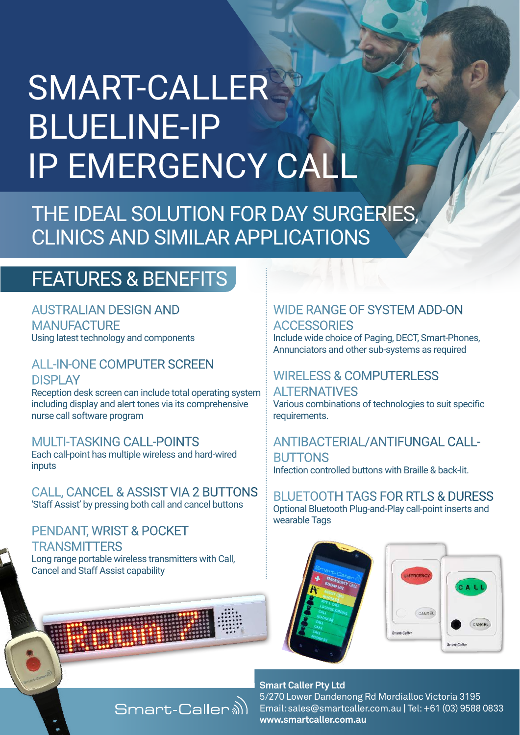# SMART-CALLER BLUELINE-IP IP EMERGENCY CALL

THE IDEAL SOLUTION FOR DAY SURGERIES, CLINICS AND SIMILAR APPLICATIONS

## FEATURES & BENEFITS

AUSTRALIAN DESIGN AND **MANUFACTURE** Using latest technology and components

ALL-IN-ONE COMPUTER SCREEN **DISPLAY** 

Reception desk screen can include total operating system including display and alert tones via its comprehensive nurse call software program

#### MULTI-TASKING CALL-POINTS

Each call-point has multiple wireless and hard-wired inputs

CALL, CANCEL & ASSIST VIA 2 BUTTONS 'Staff Assist' by pressing both call and cancel buttons

PENDANT, WRIST & POCKET **TRANSMITTERS** Long range portable wireless transmitters with Call, Cancel and Staff Assist capability

### WIDE RANGE OF SYSTEM ADD-ON **ACCESSORIES**

Include wide choice of Paging, DECT, Smart-Phones, Annunciators and other sub-systems as required

#### WIRELESS & COMPUTERLESS

ALTERNATIVES Various combinations of technologies to suit specific requirements.

ANTIBACTERIAL/ANTIFUNGAL CALL-**BUTTONS** Infection controlled buttons with Braille & back-lit.

BLUETOOTH TAGS FOR RTLS & DURESS Optional Bluetooth Plug-and-Play call-point inserts and wearable Tags





#### **Smart Caller Pty Ltd**

5/270 Lower Dandenong Rd Mordialloc Victoria 3195 Email: sales@smartcaller.com.au | Tel: +61 (03) 9588 0833 **www.smartcaller.com.au**